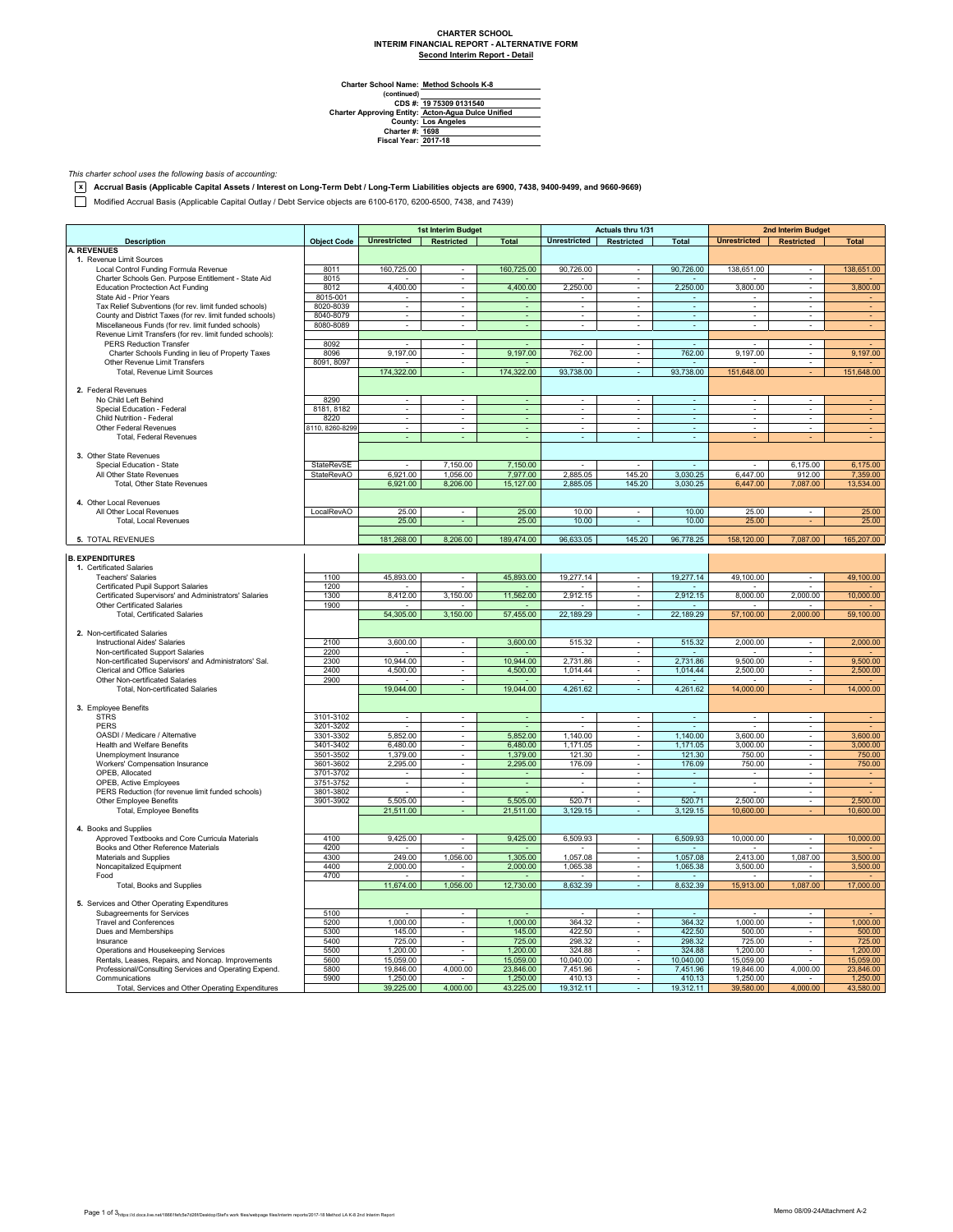## **CHARTER SCHOOL INTERIM FINANCIAL REPORT - ALTERNATIVE FORM Second Interim Report - Detail**

 $\overline{\phantom{0}}$ 

**Method Schools K-8**

Charter School Name<br>
(continued)<br>
CDS #:<br>
Charter Approving Entity:<br>
County:<br>
Charter #:<br>
Fiscal Year: **Los Angeles 1698 2017-18 19 75309 0131540 Acton-Agua Dulce Unified**

*This charter school uses the following basis of accounting:*

**x Accrual Basis (Applicable Capital Assets / Interest on Long-Term Debt / Long-Term Liabilities objects are 6900, 7438, 9400-9499, and 9660-9669)**

Modified Accrual Basis (Applicable Capital Outlay / Debt Service objects are 6100-6170, 6200-6500, 7438, and 7439)

|                                                                                               |                        | 1st Interim Budget          |                                            | Actuals thru 1/31        |                                      |                                            | 2nd Interim Budget       |                          |                               |              |
|-----------------------------------------------------------------------------------------------|------------------------|-----------------------------|--------------------------------------------|--------------------------|--------------------------------------|--------------------------------------------|--------------------------|--------------------------|-------------------------------|--------------|
| <b>Description</b>                                                                            | <b>Object Code</b>     | <b>Unrestricted</b>         | Restricted                                 | <b>Total</b>             | <b>Unrestricted</b>                  | Restricted                                 | <b>Total</b>             | Unrestricted Restricted  |                               | <b>Total</b> |
| <b>A. REVENUES</b>                                                                            |                        |                             |                                            |                          |                                      |                                            |                          |                          |                               |              |
| 1. Revenue Limit Sources                                                                      |                        |                             |                                            |                          |                                      |                                            |                          |                          |                               |              |
| Local Control Funding Formula Revenue<br>Charter Schools Gen. Purpose Entitlement - State Aid | 8011<br>8015           | 160,725.00                  | ٠                                          | 160,725.00               | 90,726.00                            | $\overline{\phantom{a}}$                   | 90,726.00                | 138,651.00               | $\overline{\phantom{a}}$      | 138,651.00   |
| <b>Education Proctection Act Funding</b>                                                      | 8012                   | 4,400.00                    | ٠<br>×.                                    | 4,400.00                 | 2,250.00                             | ٠<br>÷.                                    | 2,250.00                 | 3,800.00                 | $\mathbf{r}$                  | 3,800.00     |
| State Aid - Prior Years                                                                       | 8015-001               |                             | ÷.                                         |                          |                                      | ÷.                                         |                          |                          | ÷                             |              |
| Tax Relief Subventions (for rev. limit funded schools)                                        | 8020-8039              | ×.                          | $\sim$                                     | $\overline{\phantom{a}}$ | $\mathcal{L}_{\mathcal{A}}$          | ÷                                          | $\sim$                   | $\sim$                   | $\sim$                        |              |
| County and District Taxes (for rev. limit funded schools)                                     | 8040-8079              | $\overline{\phantom{a}}$    | $\blacksquare$                             | $\sim$                   | $\overline{\phantom{a}}$             | $\overline{\phantom{a}}$                   | $\overline{\phantom{a}}$ | $\overline{\phantom{a}}$ | $\overline{\phantom{a}}$      | $\bullet$    |
| Miscellaneous Funds (for rev. limit funded schools)                                           | 8080-8089              | $\sim$                      | $\sim$                                     | ä,                       | $\mathbf{r}$                         | $\sim$                                     | $\epsilon$               | $\sim$                   | ÷                             |              |
| Revenue Limit Transfers (for rev. limit funded schools):                                      |                        |                             |                                            |                          |                                      |                                            |                          |                          |                               |              |
| PERS Reduction Transfer                                                                       | 8092                   |                             | $\sim$                                     |                          | $\overline{\phantom{a}}$             | $\alpha$                                   | $\sim$                   |                          | $\sim$                        |              |
| Charter Schools Funding in lieu of Property Taxes<br>Other Revenue Limit Transfers            | 8096<br>8091, 8097     | 9,197.00                    | ÷.<br>$\sim$                               | 9,197.00                 | 762.00                               | $\blacksquare$<br>$\overline{\phantom{a}}$ | 762.00                   | 9,197.00                 | ÷,<br>$\sim$                  | 9,197.00     |
| Total, Revenue Limit Sources                                                                  |                        | 174,322.00                  | ÷                                          | 174,322.00               | 93,738.00                            | $\omega$                                   | 93,738.00                | 151,648.00               |                               | 151,648.00   |
|                                                                                               |                        |                             |                                            |                          |                                      |                                            |                          |                          |                               |              |
| 2. Federal Revenues                                                                           |                        |                             |                                            |                          |                                      |                                            |                          |                          |                               |              |
| No Child Left Behind                                                                          | 8290                   | $\sim$                      | $\sim$                                     | ÷.                       | $\sim$                               | $\sim$                                     | $\sim$                   | $\sim$                   |                               |              |
| Special Education - Federal                                                                   | 8181, 8182             |                             |                                            |                          |                                      |                                            | ÷                        |                          |                               |              |
| Child Nutrition - Federal                                                                     | 8220                   | $\overline{\phantom{a}}$    | $\overline{\phantom{a}}$                   | $\sim$                   | $\overline{\phantom{a}}$             | $\sim$                                     | $\sim$                   | $\overline{\phantom{a}}$ | $\overline{\phantom{a}}$      |              |
| Other Federal Revenues                                                                        | 8110, 8260-8299        | $\overline{\phantom{a}}$    | $\overline{\phantom{a}}$                   | ٠                        | $\overline{\phantom{a}}$             | $\overline{\phantom{a}}$                   | $\overline{\phantom{a}}$ |                          | ٠                             |              |
| Total, Federal Revenues                                                                       |                        |                             |                                            |                          |                                      |                                            |                          |                          |                               |              |
| 3. Other State Revenues                                                                       |                        |                             |                                            |                          |                                      |                                            |                          |                          |                               |              |
| Special Education - State                                                                     | StateRevSE             |                             | 7,150.00                                   | 7,150.00                 |                                      | $\overline{\phantom{a}}$                   |                          |                          | 6,175.00                      | 6,175.00     |
| All Other State Revenues                                                                      | StateRevAO             | 6.921.00                    | 1,056.00                                   | 7,977.00                 | 2,885.05                             | 145.20                                     | 3,030.25                 | 6.447.00                 | 912.00                        | 7,359.00     |
| Total, Other State Revenues                                                                   |                        | 6,921.00                    | 8,206.00                                   | 15,127.00                | 2,885.05                             | 145.20                                     | 3,030.25                 | 6,447.00                 | 7,087.00                      | 13,534.00    |
|                                                                                               |                        |                             |                                            |                          |                                      |                                            |                          |                          |                               |              |
| 4. Other Local Revenues                                                                       |                        |                             |                                            |                          |                                      |                                            |                          |                          |                               |              |
| All Other Local Revenues                                                                      | LocalRevAO             | 25.00                       |                                            | 25.00                    | 10.00                                | ×                                          | 10.00                    | 25.00                    | ä,                            | 25.00        |
| Total, Local Revenues                                                                         |                        | 25.00                       |                                            | 25.00                    | 10.00                                | $\overline{\phantom{a}}$                   | 10.00                    | 25.00                    |                               | 25.00        |
| 5. TOTAL REVENUES                                                                             |                        | 181,268.00                  | 8,206.00                                   | 189,474.00               | 96,633.05                            | 145.20                                     | 96,778.25                | 158,120.00               | 7,087.00                      | 165,207.00   |
|                                                                                               |                        |                             |                                            |                          |                                      |                                            |                          |                          |                               |              |
| <b>B. EXPENDITURES</b>                                                                        |                        |                             |                                            |                          |                                      |                                            |                          |                          |                               |              |
| 1. Certificated Salaries                                                                      |                        |                             |                                            |                          |                                      |                                            |                          |                          |                               |              |
| <b>Teachers' Salaries</b>                                                                     | 1100                   | 45,893.00                   |                                            | 45,893.00                | 19,277.14                            |                                            | 19,277.14                | 49,100.00                |                               | 49,100.00    |
| Certificated Pupil Support Salaries                                                           | 1200                   |                             |                                            |                          |                                      |                                            |                          |                          |                               |              |
| Certificated Supervisors' and Administrators' Salaries                                        | 1300                   | 8,412.00                    | 3,150.00                                   | 11,562.00                | 2,912.15                             | $\overline{\phantom{a}}$                   | 2,912.15                 | 8,000.00                 | 2,000.00                      | 10,000.00    |
| <b>Other Certificated Salaries</b>                                                            | 1900                   |                             |                                            |                          |                                      | $\sim$                                     |                          |                          |                               |              |
| <b>Total, Certificated Salaries</b>                                                           |                        | 54,305.00                   | 3,150.00                                   | 57,455.00                | 22,189.29                            | $\omega$                                   | 22,189.29                | 57,100.00                | 2,000.00                      | 59,100.00    |
| 2. Non-certificated Salaries                                                                  |                        |                             |                                            |                          |                                      |                                            |                          |                          |                               |              |
| <b>Instructional Aides' Salaries</b>                                                          | 2100                   | 3,600.00                    |                                            | 3,600.00                 | 515.32                               | $\overline{\phantom{a}}$                   | 515.32                   | 2,000.00                 |                               | 2,000.00     |
| Non-certificated Support Salaries                                                             | 2200                   |                             | ÷.                                         |                          |                                      | ÷                                          |                          |                          | ÷                             |              |
| Non-certificated Supervisors' and Administrators' Sal.                                        | 2300                   | 10.944.00                   | $\mathbf{r}$                               | 10,944.00                | 2,731.86                             | $\omega$                                   | 2,731.86                 | 9,500.00                 | $\sim$                        | 9,500.00     |
| Clerical and Office Salaries                                                                  | 2400                   | 4,500.00                    | $\sim$                                     | 4,500.00                 | 1,014.44                             | $\sim$                                     | 1,014.44                 | 2,500.00                 | $\overline{\phantom{a}}$      | 2,500.00     |
| Other Non-certificated Salaries                                                               | 2900                   |                             | $\sim$                                     |                          | $\overline{\phantom{a}}$             | $\sim$                                     | $\sim$                   |                          | $\sim$                        |              |
| Total, Non-certificated Salaries                                                              |                        | 19,044.00                   |                                            | 19,044.00                | 4,261.62                             |                                            | 4,261.62                 | 14,000.00                |                               | 14,000.00    |
|                                                                                               |                        |                             |                                            |                          |                                      |                                            |                          |                          |                               |              |
| 3. Employee Benefits                                                                          |                        |                             |                                            |                          |                                      |                                            |                          |                          |                               |              |
| <b>STRS</b><br>PERS                                                                           | 3101-3102              | $\mathcal{L}_{\mathcal{A}}$ | $\mathcal{L}_{\mathcal{A}}$                | $\blacksquare$           | $\sim$                               | $\sim$                                     | $\omega$                 | $\blacksquare$           | ÷,                            |              |
| OASDI / Medicare / Alternative                                                                | 3201-3202<br>3301-3302 | $\sim$<br>5,852.00          | $\overline{\phantom{a}}$<br>$\blacksquare$ | $\sim$<br>5,852.00       | $\overline{\phantom{a}}$<br>1,140.00 | $\overline{\phantom{a}}$                   | $\sim$<br>1,140.00       | 3,600.00                 | $\overline{\phantom{a}}$<br>÷ | 3,600.00     |
| Health and Welfare Benefits                                                                   | 3401-3402              | 6,480.00                    |                                            | 6,480.00                 | 1,171.05                             | $\overline{\phantom{a}}$<br>$\alpha$       | 1,171.05                 | 3,000.00                 | ٠                             | 3,000.00     |
| Unemployment Insurance                                                                        | 3501-3502              | 1.379.00                    | ÷.                                         | 1,379.00                 | 121.30                               | ÷                                          | 121.30                   | 750.00                   | ÷.                            | 750.00       |
| Workers' Compensation Insurance                                                               | 3601-3602              | 2,295.00                    | $\sim$                                     | 2,295.00                 | 176.09                               | $\alpha$                                   | 176.09                   | 750.00                   | $\sim$                        | 750.00       |
| OPEB, Allocated                                                                               | 3701-3702              | $\overline{\phantom{a}}$    | $\overline{\phantom{a}}$                   | $\blacksquare$           | $\overline{\phantom{a}}$             | $\overline{\phantom{a}}$                   | $\overline{\phantom{a}}$ | $\blacksquare$           | $\overline{\phantom{a}}$      | $\sim$       |
| OPEB, Active Employees                                                                        | 3751-3752              | ٠                           | $\sim$                                     | ÷                        | $\bar{a}$                            | $\sim$                                     | $\sim$                   | $\blacksquare$           | $\sim$                        |              |
| PERS Reduction (for revenue limit funded schools)                                             | 3801-3802              |                             |                                            |                          |                                      |                                            |                          |                          |                               |              |
| Other Employee Benefits                                                                       | 3901-3902              | 5,505.00                    | τ                                          | 5,505.00                 | 520.71                               | τ<br>÷.                                    | 520.71                   | 2,500.00                 | ×.                            | 2,500.00     |
| Total, Employee Benefits                                                                      |                        | 21,511.00                   |                                            | 21,511.00                | 3,129.15                             |                                            | 3,129.15                 | 10,600.00                |                               | 10,600.00    |
| 4. Books and Supplies                                                                         |                        |                             |                                            |                          |                                      |                                            |                          |                          |                               |              |
| Approved Textbooks and Core Curricula Materials                                               | 4100                   | 9,425.00                    | $\overline{\phantom{a}}$                   | 9,425.00                 | 6,509.93                             | ÷,                                         | 6,509.93                 | 10,000.00                | ×,                            | 10,000.00    |
| Books and Other Reference Materials                                                           | 4200                   |                             |                                            |                          |                                      | $\overline{\phantom{a}}$                   |                          |                          |                               |              |
| Materials and Supplies                                                                        | 4300                   | 249.00                      | 1,056.00                                   | 1.305.00                 | 1.057.08                             | $\sim$                                     | 1.057.08                 | 2.413.00                 | 1.087.00                      | 3.500.00     |
| Noncapitalized Equipment                                                                      | 4400                   | 2,000.00                    |                                            | 2,000.00                 | 1,065.38                             | $\sim$                                     | 1,065.38                 | 3,500.00                 |                               | 3,500.00     |
| Food                                                                                          | 4700                   |                             | $\sim$                                     |                          |                                      | $\sim$                                     |                          |                          | $\sim$                        |              |
| Total, Books and Supplies                                                                     |                        | 11,674.00                   | 1,056.00                                   | 12,730.00                | 8,632.39                             |                                            | 8,632.39                 | 15,913.00                | 1,087.00                      | 17,000.00    |
|                                                                                               |                        |                             |                                            |                          |                                      |                                            |                          |                          |                               |              |
| 5. Services and Other Operating Expenditures<br>Subagreements for Services                    | 5100                   |                             | $\mathcal{L}_{\mathcal{A}}$                |                          |                                      | $\mathbf{r}$                               |                          |                          | $\sim$                        |              |
| <b>Travel and Conferences</b>                                                                 | 5200                   | 1,000.00                    | $\overline{\phantom{a}}$                   | 1,000.00                 | 364.32                               | $\overline{\phantom{a}}$                   | 364.32                   | 1,000.00                 | $\overline{\phantom{a}}$      | 1,000.00     |
| Dues and Memberships                                                                          | 5300                   | 145.00                      | $\sim$                                     | 145.00                   | 422.50                               | $\sim$                                     | 422.50                   | 500.00                   | $\sim$                        | 500.00       |
| Insurance                                                                                     | 5400                   | 725.00                      |                                            | 725.00                   | 298.32                               |                                            | 298.32                   | 725.00                   |                               | 725.00       |
| Operations and Housekeeping Services                                                          | 5500                   | 1,200.00                    | ÷                                          | 1,200.00                 | 324.88                               | ÷                                          | 324.88                   | 1,200.00                 | ÷.                            | 1,200.00     |
| Rentals, Leases, Repairs, and Noncap. Improvements                                            | 5600                   | 15,059.00                   |                                            | 15,059.00                | 10,040.00                            | $\overline{\phantom{a}}$                   | 10,040.00                | 15,059.00                |                               | 15,059.00    |
| Professional/Consulting Services and Operating Expend.                                        | 5800                   | 19,846.00                   | 4,000.00                                   | 23,846.00                | 7,451.96                             |                                            | 7,451.96                 | 19,846.00                | 4,000.00                      | 23,846.00    |
| Communications                                                                                | 5900                   | 1,250.00                    |                                            | 1,250.00                 | 410.13                               | $\sim$                                     | 410.13                   | 1,250.00                 |                               | 1,250.00     |
| Total, Services and Other Operating Expenditures                                              |                        | 39,225.00                   | 4,000.00                                   | 43,225.00                | 19,312.11                            |                                            | 19,312.11                | 39,580.00                | 4,000.00                      | 43,580.00    |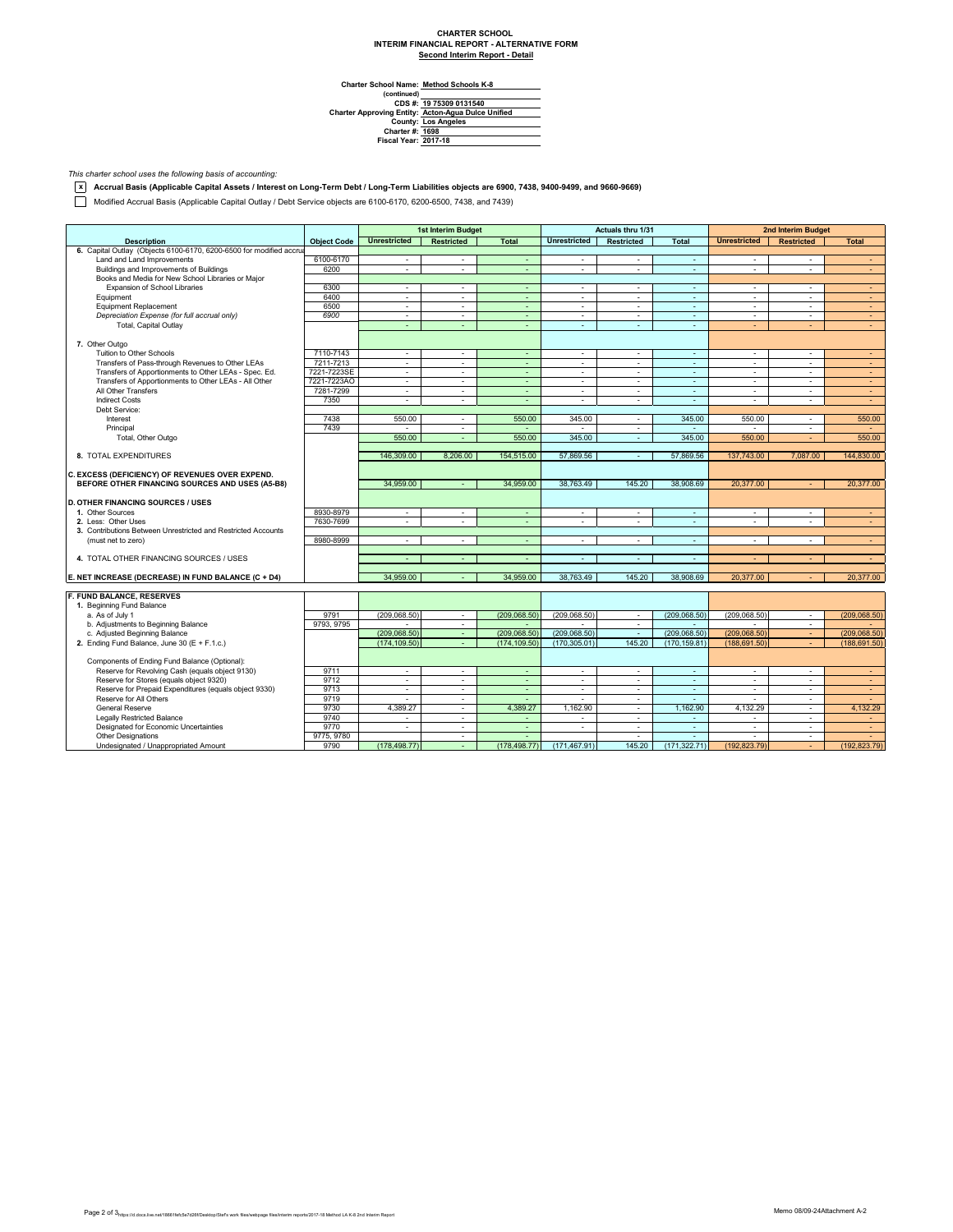## **CHARTER SCHOOL INTERIM FINANCIAL REPORT - ALTERNATIVE FORM Second Interim Report - Detail**

 $\overline{\phantom{0}}$ 

**Method Schools K-8**

Charter School Name<br>
(continued)<br>
CDS #:<br>
Charter Approving Entity:<br>
County:<br>
Charter #:<br>
Fiscal Year: **Los Angeles 1698 2017-18 19 75309 0131540 Acton-Agua Dulce Unified**

*This charter school uses the following basis of accounting:*

**x Accrual Basis (Applicable Capital Assets / Interest on Long-Term Debt / Long-Term Liabilities objects are 6900, 7438, 9400-9499, and 9660-9669)**

Modified Accrual Basis (Applicable Capital Outlay / Debt Service objects are 6100-6170, 6200-6500, 7438, and 7439)

|                                                                     |                    | 1st Interim Budget       |                   | Actuals thru 1/31        |                     |                   | <b>2nd Interim Budget</b> |                          |                   |               |
|---------------------------------------------------------------------|--------------------|--------------------------|-------------------|--------------------------|---------------------|-------------------|---------------------------|--------------------------|-------------------|---------------|
| <b>Description</b>                                                  | <b>Object Code</b> | <b>Unrestricted</b>      | <b>Restricted</b> | <b>Total</b>             | <b>Unrestricted</b> | <b>Restricted</b> | <b>Total</b>              | <b>Unrestricted</b>      | <b>Restricted</b> | <b>Total</b>  |
| 6. Capital Outlay (Objects 6100-6170, 6200-6500 for modified accrua |                    |                          |                   |                          |                     |                   |                           |                          |                   |               |
| Land and Land Improvements                                          | 6100-6170          | $\sim$                   | $\sim$            | ÷                        | $\blacksquare$      | $\sim$            | $\sim$                    | $\sim$                   | ÷.                | $\sim$        |
| Buildings and Improvements of Buildings                             | 6200               | ÷.                       | ÷.                | $\sim$                   | $\sim$              | ÷.                | $\sim$                    | ÷.                       | $\mathbf{r}$      | $\sim$        |
| Books and Media for New School Libraries or Major                   |                    |                          |                   |                          |                     |                   |                           |                          |                   |               |
| Expansion of School Libraries                                       | 6300               | ×.                       | $\sim$            | ä,                       | ä,                  | ÷.                | ÷.                        | $\sim$                   | ÷.                | $\sim$        |
| Equipment                                                           | 6400               | ÷.                       | $\sim$            | $\sim$                   | $\sim$              | $\sim$            | $\sim$                    | $\sim$                   | $\mathbf{r}$      | $\sim$        |
| <b>Equipment Replacement</b>                                        | 6500               | ×.                       | $\sim$            | $\sim$                   | $\sim$              | $\sim$            | $\sim$                    | $\sim$                   | ٠                 | $\sim$        |
| Depreciation Expense (for full accrual only)                        | 6900               | $\sim$                   | $\sim$            | ÷                        | $\blacksquare$      | $\sim$            | $\overline{\phantom{a}}$  | $\sim$                   | ÷.                | ÷             |
| Total, Capital Outlay                                               |                    | ÷                        | $\sim$            | ÷.                       | ÷                   | ÷.                | $\sim$                    | ÷                        | ÷                 | $\sim$        |
|                                                                     |                    |                          |                   |                          |                     |                   |                           |                          |                   |               |
| 7. Other Outgo                                                      |                    |                          |                   |                          |                     |                   |                           |                          |                   |               |
| Tuition to Other Schools                                            | 7110-7143          | $\sim$                   | $\sim$            | $\sim$                   | $\sim$              | $\sim$            | $\sim$                    | $\sim$                   | ÷                 | $\sim$        |
| Transfers of Pass-through Revenues to Other LEAs                    | 7211-7213          | $\sim$                   | $\sim$            | $\sim$                   | $\sim$              | $\sim$            | $\sim$                    | $\sim$                   | ٠                 | $\sim$        |
| Transfers of Apportionments to Other LEAs - Spec. Ed.               | 7221-7223SE        | $\sim$                   | $\sim$            | ÷.                       | $\blacksquare$      | $\sim$            | ÷.                        | $\sim$                   | ä,                | $\sim$        |
| Transfers of Apportionments to Other LEAs - All Other               | 7221-7223AO        | ÷.                       | $\sim$            | ÷.                       | $\sim$              | ÷                 | $\sim$                    | ×.                       | ÷                 | $\sim$        |
| All Other Transfers                                                 | 7281-7299          | $\sim$                   | $\sim$            | $\sim$                   | $\sim$              | $\sim$            | $\sim$                    | $\sim$                   | $\sim$            | $\sim$        |
| <b>Indirect Costs</b>                                               | 7350               | $\mathbf{r}$             |                   |                          | $\mathbf{r}$        |                   | ÷.                        | ä,                       | ä,                | $\sim$        |
| Debt Service:                                                       |                    |                          |                   |                          |                     |                   |                           |                          |                   |               |
| Interest                                                            | 7438               | 550.00                   | $\sim$            | 550.00                   | 345.00              | $\sim$            | 345.00                    | 550.00                   | $\sim$            | 550.00        |
| Principal                                                           | 7439               |                          | ٠                 |                          |                     | $\sim$            |                           |                          | ٠                 |               |
| Total, Other Outgo                                                  |                    | 550.00                   | $\sim$            | 550.00                   | 345.00              | ÷                 | 345.00                    | 550.00                   | ÷                 | 550.00        |
|                                                                     |                    |                          |                   |                          |                     |                   |                           |                          |                   |               |
| 8. TOTAL EXPENDITURES                                               |                    | 146,309.00               | 8,206.00          | 154,515.00               | 57,869.56           | $\sim$            | 57,869.56                 | 137,743.00               | 7,087.00          | 144,830.00    |
|                                                                     |                    |                          |                   |                          |                     |                   |                           |                          |                   |               |
| C. EXCESS (DEFICIENCY) OF REVENUES OVER EXPEND.                     |                    |                          |                   |                          |                     |                   |                           |                          |                   |               |
| BEFORE OTHER FINANCING SOURCES AND USES (A5-B8)                     |                    | 34,959.00                |                   | 34,959.00                | 38,763.49           | 145.20            | 38,908.69                 | 20,377.00                |                   | 20,377.00     |
|                                                                     |                    |                          |                   |                          |                     |                   |                           |                          |                   |               |
| <b>D. OTHER FINANCING SOURCES / USES</b>                            |                    |                          |                   |                          |                     |                   |                           |                          |                   |               |
| 1. Other Sources                                                    | 8930-8979          | $\sim$                   | $\sim$            | $\blacksquare$           | ä,                  | $\sim$            | $\sim$                    | $\sim$                   | ÷,                | $\sim$        |
| 2. Less: Other Uses                                                 | 7630-7699          | $\sim$                   | $\sim$            | $\sim$                   | $\blacksquare$      | $\sim$            | $\sim$                    | $\sim$                   | ÷.                | $\sim$        |
| 3. Contributions Between Unrestricted and Restricted Accounts       |                    |                          |                   |                          |                     |                   |                           |                          |                   |               |
| (must net to zero)                                                  | 8980-8999          | ×.                       | $\sim$            | $\blacksquare$           | ä,                  | $\sim$            | $\sim$                    | $\sim$                   | ÷,                | $\sim$        |
|                                                                     |                    |                          |                   |                          |                     |                   |                           |                          |                   |               |
| 4. TOTAL OTHER FINANCING SOURCES / USES                             |                    | $\overline{\phantom{a}}$ | $\sim$            | $\sim$                   | $\sim$              | $\sim$            | $\sim$                    |                          |                   | $\sim$        |
|                                                                     |                    |                          |                   |                          |                     |                   |                           |                          |                   |               |
| E. NET INCREASE (DECREASE) IN FUND BALANCE (C + D4)                 |                    | 34.959.00                |                   | 34.959.00                | 38.763.49           | 145.20            | 38.908.69                 | 20.377.00                |                   | 20.377.00     |
|                                                                     |                    |                          |                   |                          |                     |                   |                           |                          |                   |               |
| F. FUND BALANCE, RESERVES                                           |                    |                          |                   |                          |                     |                   |                           |                          |                   |               |
| 1. Beginning Fund Balance                                           |                    |                          |                   |                          |                     |                   |                           |                          |                   |               |
| a. As of July 1                                                     | 9791               | (209, 068.50)            | $\sim$            | (209, 068.50)            | (209, 068.50)       | $\sim$            | (209, 068.50)             | (209, 068.50)            | $\sim$            | (209, 068.50) |
| b. Adjustments to Beginning Balance                                 | 9793, 9795         |                          | $\sim$            |                          |                     | $\sim$            |                           |                          | ٠                 |               |
| c. Adjusted Beginning Balance                                       |                    | (209.068.50)             | $\sim$            | (209.068.50)             | (209.068.50)        | $\sim$            | (209.068.50)              | (209.068.50)             | $\omega$ .        | (209.068.50)  |
| 2. Ending Fund Balance, June 30 (E + F.1.c.)                        |                    | (174.109.50)             | $\sim$            | (174.109.50)             | (170.305.01)        | 145.20            | (170.159.81)              | (188.691.50)             |                   | (188, 691.50) |
|                                                                     |                    |                          |                   |                          |                     |                   |                           |                          |                   |               |
| Components of Ending Fund Balance (Optional):                       |                    |                          |                   |                          |                     |                   |                           |                          |                   |               |
| Reserve for Revolving Cash (equals object 9130)                     | 9711               | ×.                       | $\sim$            | ÷.                       | $\sim$              | $\sim$            | $\sim$                    | $\sim$                   | $\mathbf{r}$      | $\sim$        |
| Reserve for Stores (equals object 9320)                             | 9712               | ×.                       | $\sim$            | ÷.                       | ä,                  | $\sim$            | $\omega$                  | $\sim$                   | ٠                 | ÷             |
| Reserve for Prepaid Expenditures (equals object 9330)               | 9713               | $\sim$                   | $\sim$            | $\sim$                   | $\sim$              | $\sim$            | $\sim$                    | $\sim$                   | $\mathbf{r}$      | $\sim$        |
| Reserve for All Others                                              | 9719               | ÷.                       | $\sim$            | ÷                        | $\sim$              | $\sim$            | $\sim$                    | $\Delta$                 | $\sim$            | $\sim$        |
| <b>General Reserve</b>                                              | 9730               | 4,389.27                 | $\sim$            | 4,389.27                 | 1,162.90            | ÷                 | 1,162.90                  | 4,132.29                 | ٠                 | 4,132.29      |
| <b>Legally Restricted Balance</b>                                   | 9740               | $\sim$                   | $\sim$            | $\overline{\phantom{a}}$ | $\sim$              | $\sim$            | $\sim$                    | $\overline{a}$           | $\sim$            | $\sim$        |
| Designated for Economic Uncertainties                               | 9770               | $\mathbf{r}$             | $\sim$            | $\sim$                   | $\sim$              | $\sim$            | $\sim$                    | $\overline{\phantom{a}}$ | $\mathbf{r}$      | $\sim$        |
| <b>Other Designations</b>                                           | 9775, 9780         |                          | $\sim$            |                          |                     | ÷.                | ÷.                        |                          | ÷.                |               |
| Undesignated / Unappropriated Amount                                | 9790               | (178, 498.77)            | $\sim$            | (178, 498.77)            | (171, 467.91)       | 145.20            | (171.322.71)              | (192.823.79)             | ÷                 | (192, 823.79) |